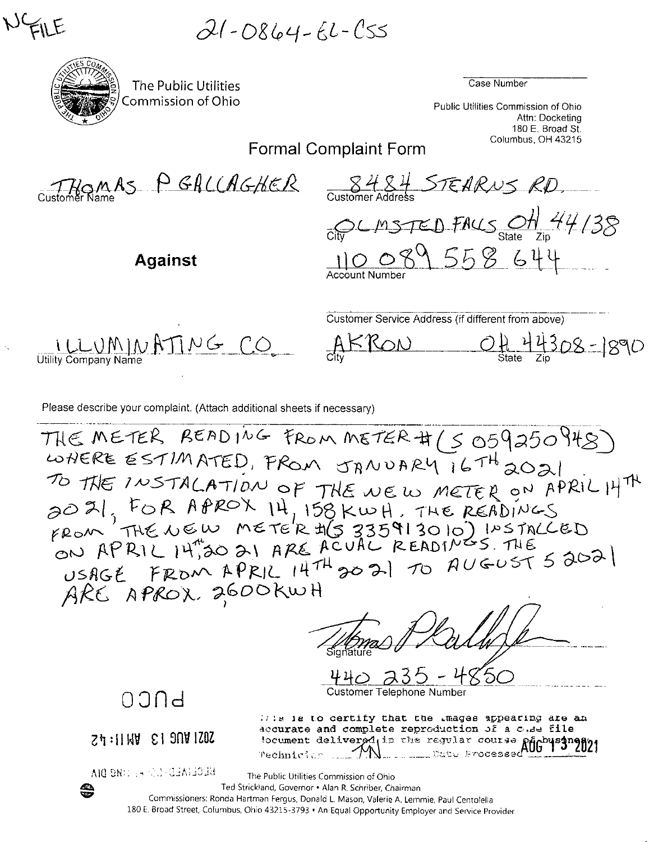$21 - 0864 - 61 - 055$ 



The Public Utilities Commission of Ohio

Case Number

Public Utilities Commission of Ohio Attn: Docketing 180 E. Broad St. Columbus, OH 43215

## **Formal Complaint Form**

THOMAS PGALLAGHER

**Against** 

S484 STEARNS RD.

OLMSTED FALLS OH 44/38 110089558644

Customer Service Address (if different from above)

Utility Company Name ATING CO

AKRON  $O_{\frac{8}{3} \cdot 11}_{\frac{3}{2} \cdot 08} - 890$ 

Please describe your complaint. (Attach additional sheets if necessary)

THE METER BEADING FROM METER # (SO59250448) WHERE ESTIMATED, FROM JANUARY 16TH 2021 TO THE INSTALATION OF THE NEW METER ON APRIL 14TH<br>and 21, FOR APROX 14, 158 KWH, THE READINGS<br>FROM THE NEW METER 19 335913010) INSTALLED<br>ON APRIL 14, 2021 ARE ACUAL READINGS THE<br>USAGE FROM APRIL 14TH 2021 TO AUGUST 5 2021 ARE APROX 2600KWH

**DOOD** 

Zh: 11 WV 81 9NV 1702

If is is to certify that the Images appearing are an accurate and complete reproduction of a case file accurate and complete accurate outse phousin Technician Julie Date Processed

**Customer Telephone Number** 

**MO SNILL** A STAR ONG DIA

The Public Utilities Commission of Ohio

Ted Strickland, Governor . Alan R. Schriber, Chairman Commissioners: Ronda Hartman Fergus, Donald L. Mason, Valerie A. Lemmie, Paul Centolella

180 E. Broad Street, Columbus, Ohio 43215-3793 • An Equal Opportunity Employer and Service Provider